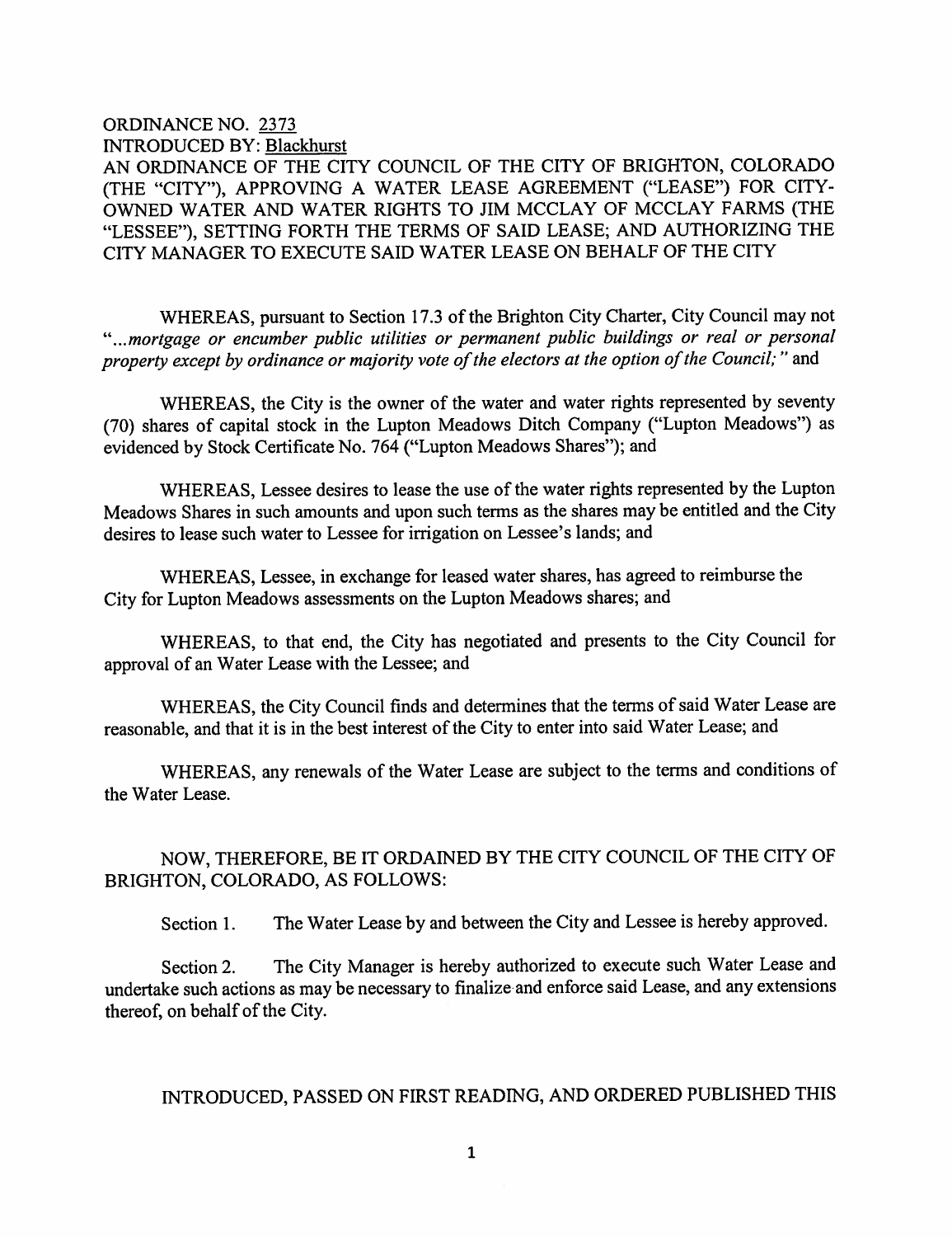## ORDINANCE NO. 2373 INTRODUCED BY: Blackhurst AN ORDINANCE OF THE CITY COUNCIL OF THE CITY OF BRIGHTON, COLORADO (THE "CITY"), APPROVING A WATER LEASE AGREEMENT ("LEASE") FOR CITY-OWNED WATER AND WATER RIGHTS TO JIM MCCLAY OF MCCLAY FARMS (THE "LESSEE"), SETTING FORTH THE TERMS OF SAID LEASE; AND AUTHORIZING THE CITY MANAGER TO EXECUTE SAID WATER LEASE ON BEHALF OF THE CITY

WHEREAS, pursuant to Section 17.3 of the Brighton City Charter, City Council may not '"...mortgage or encumber public utilities or permanent public buildings or real or personal property except by ordinance or majority vote of the electors at the option of the Council; " and

WHEREAS, the City is the owner of the water and water rights represented by seventy (70) shares of capital stock in the Lupton Meadows Ditch Company ("Lupton Meadows") as evidenced by Stock Certificate No. 764 ("Lupton Meadows Shares"); and

WHEREAS, Lessee desires to lease the use of the water rights represented by the Lupton Meadows Shares in such amounts and upon such terms as the shares may be entitled and the City desires to lease such water to Lessee for irrigation on Lessee's lands; and

WHEREAS, Lessee, in exchange for leased water shares, has agreed to reimburse the City for Lupton Meadows assessments on the Lupton Meadows shares; and

WHEREAS, to that end, the City has negotiated and presents to the City Council for approval of an Water Lease with the Lessee; and

WHEREAS, the City Council finds and determines that the terms of said Water Lease are reasonable, and that it is in the best interest of the City to enter into said Water Lease; and

WHEREAS, any renewals of the Water Lease are subject to the terms and conditions of the Water Lease.

## NOW, THEREFORE, BE IT ORDAINED BY THE CITY COUNCIL OF THE CITY OF BRIGHTON, COLORADO, AS FOLLOWS:

Section 1. The Water Lease by and between the City and Lessee is hereby approved.

Section 2. The City Manager is hereby authorized to execute such Water Lease and undertake such actions as may be necessary to finalize and enforce said Lease, and any extensions thereof, on behalf of the City.

## INTRODUCED, PASSED ON FIRST READING, AND ORDERED PUBLISHED THIS